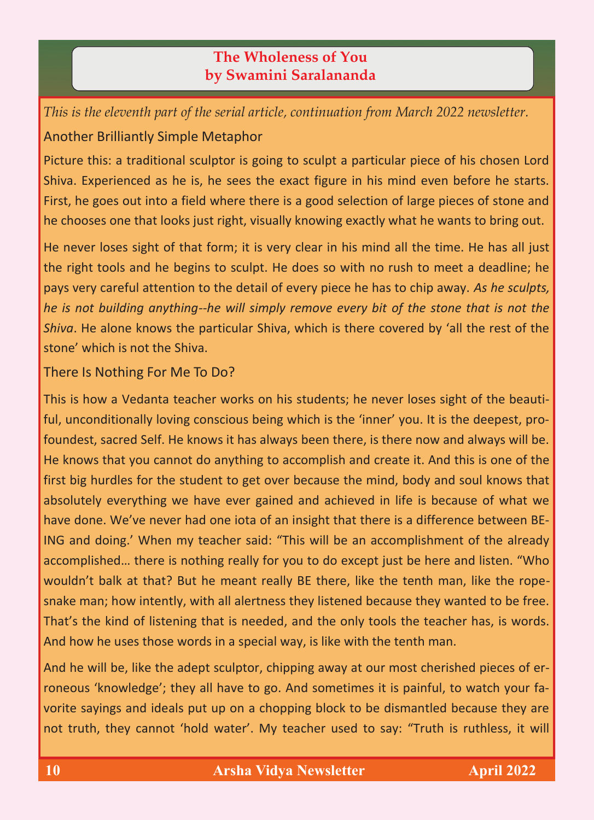## **The Wholeness of You by Swamini Saralananda**

*This is the eleventh part of the serial article, continuation from March 2022 newsletter.* Another Brilliantly Simple Metaphor

Picture this: a traditional sculptor is going to sculpt a particular piece of his chosen Lord Shiva. Experienced as he is, he sees the exact figure in his mind even before he starts. First, he goes out into a field where there is a good selection of large pieces of stone and he chooses one that looks just right, visually knowing exactly what he wants to bring out.

He never loses sight of that form; it is very clear in his mind all the time. He has all just the right tools and he begins to sculpt. He does so with no rush to meet a deadline; he pays very careful attention to the detail of every piece he has to chip away. *As he sculpts, he is not building anything--he will simply remove every bit of the stone that is not the Shiva*. He alone knows the particular Shiva, which is there covered by 'all the rest of the stone' which is not the Shiva.

There Is Nothing For Me To Do?

This is how a Vedanta teacher works on his students; he never loses sight of the beautiful, unconditionally loving conscious being which is the 'inner' you. It is the deepest, profoundest, sacred Self. He knows it has always been there, is there now and always will be. He knows that you cannot do anything to accomplish and create it. And this is one of the first big hurdles for the student to get over because the mind, body and soul knows that absolutely everything we have ever gained and achieved in life is because of what we have done. We've never had one iota of an insight that there is a difference between BE-ING and doing.' When my teacher said: "This will be an accomplishment of the already accomplished… there is nothing really for you to do except just be here and listen. "Who wouldn't balk at that? But he meant really BE there, like the tenth man, like the ropesnake man; how intently, with all alertness they listened because they wanted to be free. That's the kind of listening that is needed, and the only tools the teacher has, is words. And how he uses those words in a special way, is like with the tenth man.

And he will be, like the adept sculptor, chipping away at our most cherished pieces of erroneous 'knowledge'; they all have to go. And sometimes it is painful, to watch your favorite sayings and ideals put up on a chopping block to be dismantled because they are not truth, they cannot 'hold water'. My teacher used to say: "Truth is ruthless, it will